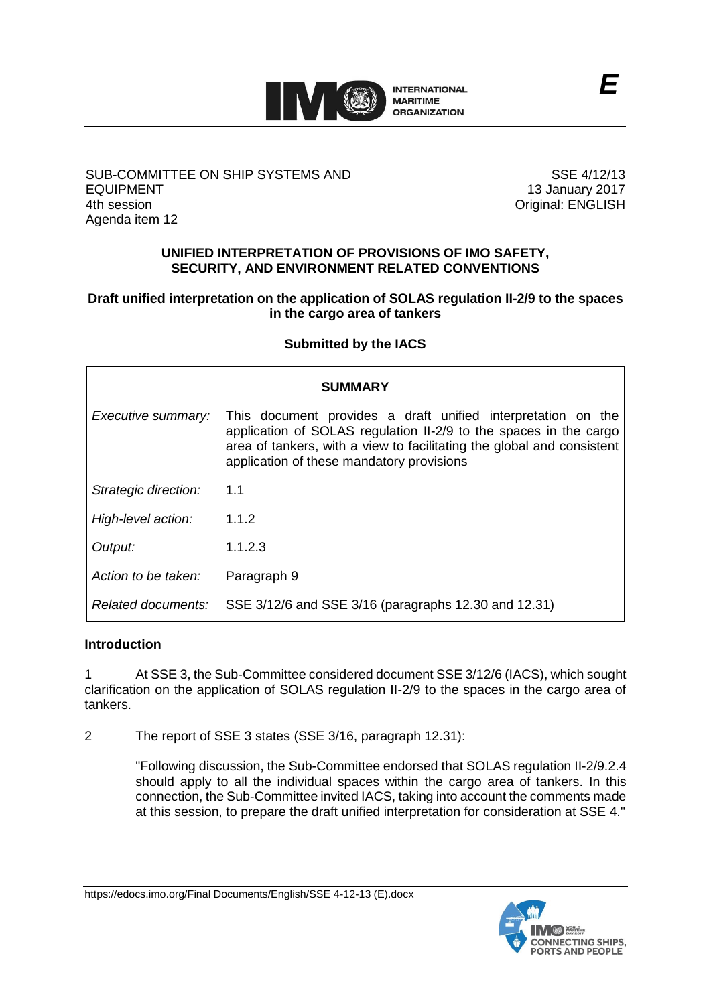

## SUB-COMMITTEE ON SHIP SYSTEMS AND EQUIPMENT 4th session Agenda item 12

SSE 4/12/13 13 January 2017 Original: ENGLISH

## **UNIFIED INTERPRETATION OF PROVISIONS OF IMO SAFETY, SECURITY, AND ENVIRONMENT RELATED CONVENTIONS**

# **Draft unified interpretation on the application of SOLAS regulation II-2/9 to the spaces in the cargo area of tankers**

# **Submitted by the IACS**

| <b>SUMMARY</b>       |                                                                                                                                                                                                                                                          |
|----------------------|----------------------------------------------------------------------------------------------------------------------------------------------------------------------------------------------------------------------------------------------------------|
| Executive summary:   | This document provides a draft unified interpretation on the<br>application of SOLAS regulation II-2/9 to the spaces in the cargo<br>area of tankers, with a view to facilitating the global and consistent<br>application of these mandatory provisions |
| Strategic direction: | 1.1                                                                                                                                                                                                                                                      |
| High-level action:   | 1.1.2                                                                                                                                                                                                                                                    |
| Output:              | 1.1.2.3                                                                                                                                                                                                                                                  |
| Action to be taken:  | Paragraph 9                                                                                                                                                                                                                                              |
| Related documents:   | SSE 3/12/6 and SSE 3/16 (paragraphs 12.30 and 12.31)                                                                                                                                                                                                     |

#### **Introduction**

1 At SSE 3, the Sub-Committee considered document SSE 3/12/6 (IACS), which sought clarification on the application of SOLAS regulation II-2/9 to the spaces in the cargo area of tankers.

2 The report of SSE 3 states (SSE 3/16, paragraph 12.31):

"Following discussion, the Sub-Committee endorsed that SOLAS regulation II-2/9.2.4 should apply to all the individual spaces within the cargo area of tankers. In this connection, the Sub-Committee invited IACS, taking into account the comments made at this session, to prepare the draft unified interpretation for consideration at SSE 4."

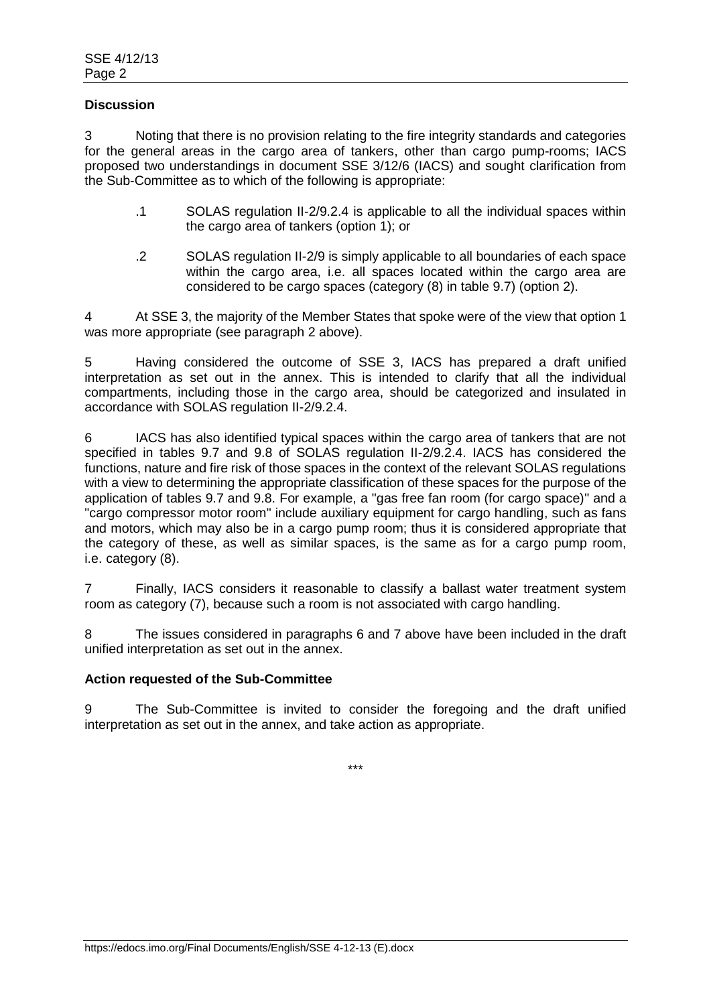## **Discussion**

3 Noting that there is no provision relating to the fire integrity standards and categories for the general areas in the cargo area of tankers, other than cargo pump-rooms; IACS proposed two understandings in document SSE 3/12/6 (IACS) and sought clarification from the Sub-Committee as to which of the following is appropriate:

- .1 SOLAS regulation II-2/9.2.4 is applicable to all the individual spaces within the cargo area of tankers (option 1); or
- .2 SOLAS regulation II-2/9 is simply applicable to all boundaries of each space within the cargo area, i.e. all spaces located within the cargo area are considered to be cargo spaces (category (8) in table 9.7) (option 2).

4 At SSE 3, the majority of the Member States that spoke were of the view that option 1 was more appropriate (see paragraph 2 above).

5 Having considered the outcome of SSE 3, IACS has prepared a draft unified interpretation as set out in the annex. This is intended to clarify that all the individual compartments, including those in the cargo area, should be categorized and insulated in accordance with SOLAS regulation II-2/9.2.4.

6 IACS has also identified typical spaces within the cargo area of tankers that are not specified in tables 9.7 and 9.8 of SOLAS regulation II-2/9.2.4. IACS has considered the functions, nature and fire risk of those spaces in the context of the relevant SOLAS regulations with a view to determining the appropriate classification of these spaces for the purpose of the application of tables 9.7 and 9.8. For example, a "gas free fan room (for cargo space)" and a "cargo compressor motor room" include auxiliary equipment for cargo handling, such as fans and motors, which may also be in a cargo pump room; thus it is considered appropriate that the category of these, as well as similar spaces, is the same as for a cargo pump room, i.e. category (8).

7 Finally, IACS considers it reasonable to classify a ballast water treatment system room as category (7), because such a room is not associated with cargo handling.

The issues considered in paragraphs 6 and 7 above have been included in the draft unified interpretation as set out in the annex.

## **Action requested of the Sub-Committee**

9 The Sub-Committee is invited to consider the foregoing and the draft unified interpretation as set out in the annex, and take action as appropriate.

\*\*\*